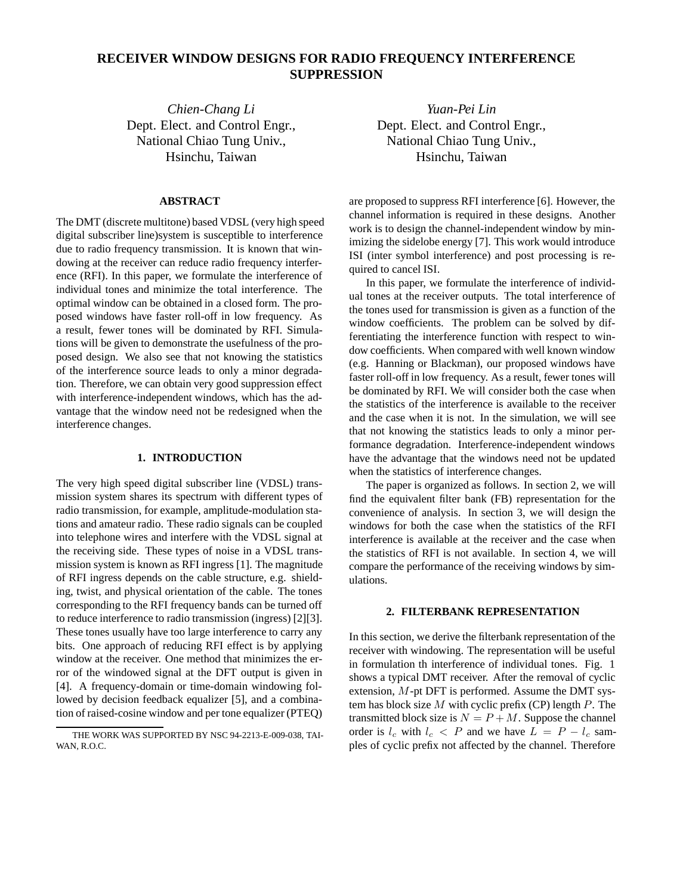# **RECEIVER WINDOW DESIGNS FOR RADIO FREQUENCY INTERFERENCE SUPPRESSION**

*Chien-Chang Li* Dept. Elect. and Control Engr., National Chiao Tung Univ., Hsinchu, Taiwan

## **ABSTRACT**

The DMT (discrete multitone) based VDSL (very high speed digital subscriber line)system is susceptible to interference due to radio frequency transmission. It is known that windowing at the receiver can reduce radio frequency interference (RFI). In this paper, we formulate the interference of individual tones and minimize the total interference. The optimal window can be obtained in a closed form. The proposed windows have faster roll-off in low frequency. As a result, fewer tones will be dominated by RFI. Simulations will be given to demonstrate the usefulness of the proposed design. We also see that not knowing the statistics of the interference source leads to only a minor degradation. Therefore, we can obtain very good suppression effect with interference-independent windows, which has the advantage that the window need not be redesigned when the interference changes.

# **1. INTRODUCTION**

The very high speed digital subscriber line (VDSL) transmission system shares its spectrum with different types of radio transmission, for example, amplitude-modulation stations and amateur radio. These radio signals can be coupled into telephone wires and interfere with the VDSL signal at the receiving side. These types of noise in a VDSL transmission system is known as RFI ingress [1]. The magnitude of RFI ingress depends on the cable structure, e.g. shielding, twist, and physical orientation of the cable. The tones corresponding to the RFI frequency bands can be turned off to reduce interference to radio transmission (ingress) [2][3]. These tones usually have too large interference to carry any bits. One approach of reducing RFI effect is by applying window at the receiver. One method that minimizes the error of the windowed signal at the DFT output is given in [4]. A frequency-domain or time-domain windowing followed by decision feedback equalizer [5], and a combination of raised-cosine window and per tone equalizer (PTEQ)

*Yuan-Pei Lin* Dept. Elect. and Control Engr., National Chiao Tung Univ., Hsinchu, Taiwan

are proposed to suppress RFI interference [6]. However, the channel information is required in these designs. Another work is to design the channel-independent window by minimizing the sidelobe energy [7]. This work would introduce ISI (inter symbol interference) and post processing is required to cancel ISI.

In this paper, we formulate the interference of individual tones at the receiver outputs. The total interference of the tones used for transmission is given as a function of the window coefficients. The problem can be solved by differentiating the interference function with respect to window coefficients. When compared with well known window (e.g. Hanning or Blackman), our proposed windows have faster roll-off in low frequency. As a result, fewer tones will be dominated by RFI. We will consider both the case when the statistics of the interference is available to the receiver and the case when it is not. In the simulation, we will see that not knowing the statistics leads to only a minor performance degradation. Interference-independent windows have the advantage that the windows need not be updated when the statistics of interference changes.

The paper is organized as follows. In section 2, we will find the equivalent filter bank (FB) representation for the convenience of analysis. In section 3, we will design the windows for both the case when the statistics of the RFI interference is available at the receiver and the case when the statistics of RFI is not available. In section 4, we will compare the performance of the receiving windows by simulations.

# **2. FILTERBANK REPRESENTATION**

In this section, we derive the filterbank representation of the receiver with windowing. The representation will be useful in formulation th interference of individual tones. Fig. 1 shows a typical DMT receiver. After the removal of cyclic extension, M-pt DFT is performed. Assume the DMT system has block size  $M$  with cyclic prefix (CP) length  $P$ . The transmitted block size is  $N = P + M$ . Suppose the channel order is  $l_c$  with  $l_c < P$  and we have  $L = P - l_c$  samples of cyclic prefix not affected by the channel. Therefore

THE WORK WAS SUPPORTED BY NSC 94-2213-E-009-038, TAI-WAN, R.O.C.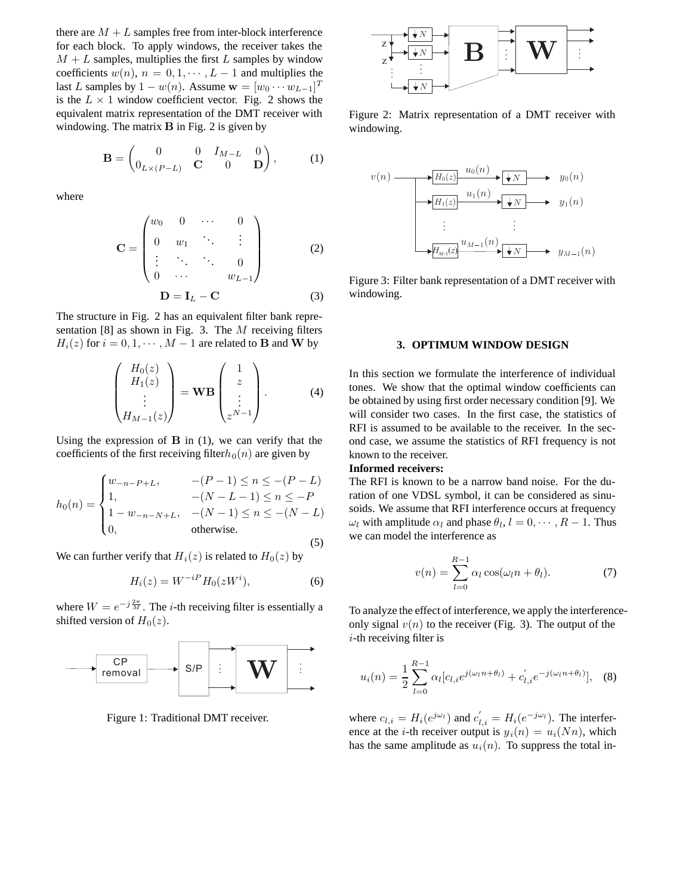there are  $M + L$  samples free from inter-block interference for each block. To apply windows, the receiver takes the  $M + L$  samples, multiplies the first L samples by window coefficients  $w(n)$ ,  $n = 0, 1, \dots, L-1$  and multiplies the last L samples by  $1 - w(n)$ . Assume  $\mathbf{w} = [w_0 \cdots w_{L-1}]^T$ is the  $L \times 1$  window coefficient vector. Fig. 2 shows the equivalent matrix representation of the DMT receiver with windowing. The matrix **B** in Fig. 2 is given by

$$
\mathbf{B} = \begin{pmatrix} 0 & 0 & I_{M-L} & 0 \\ 0_{L \times (P-L)} & \mathbf{C} & 0 & \mathbf{D} \end{pmatrix}, \quad (1)
$$

where

$$
\mathbf{C} = \begin{pmatrix} w_0 & 0 & \cdots & 0 \\ 0 & w_1 & \ddots & \vdots \\ \vdots & \ddots & \ddots & 0 \\ 0 & \cdots & w_{L-1} \end{pmatrix}
$$
 (2)  

$$
\mathbf{D} = \mathbf{I}_L - \mathbf{C}
$$
 (3)

The structure in Fig. 2 has an equivalent filter bank representation [8] as shown in Fig. 3. The M receiving filters  $H_i(z)$  for  $i = 0, 1, \dots, M - 1$  are related to **B** and **W** by

$$
\begin{pmatrix} H_0(z) \\ H_1(z) \\ \vdots \\ H_{M-1}(z) \end{pmatrix} = \mathbf{W}\mathbf{B} \begin{pmatrix} 1 \\ z \\ \vdots \\ z^{N-1} \end{pmatrix} .
$$
 (4)

Using the expression of **B** in (1), we can verify that the coefficients of the first receiving filter $h_0(n)$  are given by

$$
h_0(n) = \begin{cases} w_{-n-P+L}, & -(P-1) \le n \le -(P-L) \\ 1, & -(N-L-1) \le n \le -P \\ 1 - w_{-n-N+L}, & -(N-1) \le n \le -(N-L) \\ 0, & \text{otherwise.} \end{cases}
$$
(5)

We can further verify that  $H_i(z)$  is related to  $H_0(z)$  by

$$
H_i(z) = W^{-iP} H_0(zW^i),\tag{6}
$$

where  $W = e^{-j\frac{2\pi}{M}}$ . The *i*-th receiving filter is essentially a shifted version of  $H_0(z)$ .



Figure 1: Traditional DMT receiver.



Figure 2: Matrix representation of a DMT receiver with windowing.



Figure 3: Filter bank representation of a DMT receiver with windowing.

#### **3. OPTIMUM WINDOW DESIGN**

In this section we formulate the interference of individual tones. We show that the optimal window coefficients can be obtained by using first order necessary condition [9]. We will consider two cases. In the first case, the statistics of RFI is assumed to be available to the receiver. In the second case, we assume the statistics of RFI frequency is not known to the receiver.

# **Informed receivers:**

The RFI is known to be a narrow band noise. For the duration of one VDSL symbol, it can be considered as sinusoids. We assume that RFI interference occurs at frequency  $\omega_l$  with amplitude  $\alpha_l$  and phase  $\theta_l$ ,  $l = 0, \dots, R - 1$ . Thus we can model the interference as

$$
v(n) = \sum_{l=0}^{R-1} \alpha_l \cos(\omega_l n + \theta_l).
$$
 (7)

To analyze the effect of interference, we apply the interferenceonly signal  $v(n)$  to the receiver (Fig. 3). The output of the  $i$ -th receiving filter is

$$
u_i(n) = \frac{1}{2} \sum_{l=0}^{R-1} \alpha_l [c_{l,i} e^{j(\omega_l n + \theta_l)} + c'_{l,i} e^{-j(\omega_l n + \theta_l)}], \quad (8)
$$

where  $c_{l,i} = H_i(e^{j\omega_l})$  and  $c'_{l,i} = H_i(e^{-j\omega_l})$ . The interference at the *i*-th receiver output is  $y_i(n) = u_i(Nn)$ , which has the same amplitude as  $u_i(n)$ . To suppress the total in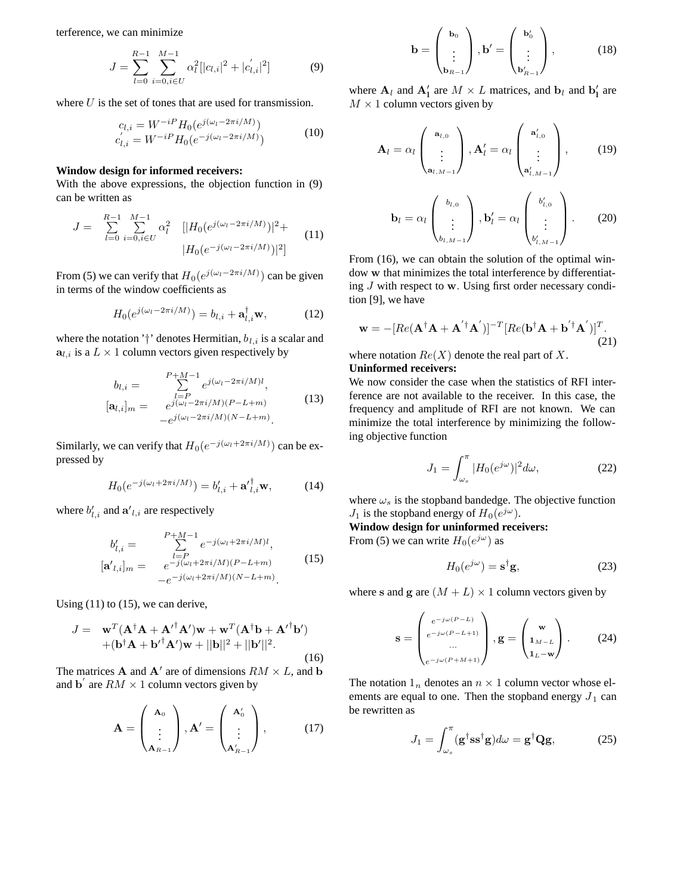terference, we can minimize

$$
J = \sum_{l=0}^{R-1} \sum_{i=0, i \in U}^{M-1} \alpha_l^2 [ |c_{l,i}|^2 + |c'_{l,i}|^2 ] \tag{9}
$$

where  $U$  is the set of tones that are used for transmission.

$$
c_{l,i} = W^{-iP} H_0(e^{j(\omega_l - 2\pi i/M)})
$$
  
\n
$$
c'_{l,i} = W^{-iP} H_0(e^{-j(\omega_l - 2\pi i/M)})
$$
\n(10)

# **Window design for informed receivers:**

With the above expressions, the objection function in (9) can be written as

$$
J = \sum_{l=0}^{R-1} \sum_{i=0, i \in U}^{M-1} \alpha_l^2 \quad [|H_0(e^{j(\omega_l - 2\pi i/M)})|^2 + |H_0(e^{-j(\omega_l - 2\pi i/M)})|^2]
$$
(11)

From (5) we can verify that  $H_0(e^{j(\omega_l-2\pi i/M)})$  can be given in terms of the window coefficients as

$$
H_0(e^{j(\omega_l - 2\pi i/M)}) = b_{l,i} + \mathbf{a}_{l,i}^{\dagger} \mathbf{w},\tag{12}
$$

where the notation '†' denotes Hermitian,  $b_{l,i}$  is a scalar and  $a_{l,i}$  is a  $L \times 1$  column vectors given respectively by

$$
b_{l,i} = \sum_{\substack{l=P \ e^{j(\omega_l - 2\pi i/M)l}, \\ e^{j(\omega_l - 2\pi i/M)(P-L+m)}}}^{P+M-1} e^{j(\omega_l - 2\pi i/M)(P-L+m)} \tag{13}
$$

Similarly, we can verify that  $H_0(e^{-j(\omega_l+2\pi i/M)})$  can be expressed by

$$
H_0(e^{-j(\omega_l+2\pi i/M)}) = b'_{l,i} + \mathbf{a'}_{l,i}^{\dagger} \mathbf{w},\tag{14}
$$

where  $b'_{l,i}$  and  $\mathbf{a'}_{l,i}$  are respectively

$$
b'_{l,i} = \sum_{\substack{l=P \ -j(\omega_l+2\pi i/M)(P-L+m)}}^{P+M-1} e^{-j(\omega_l+2\pi i/M)l},
$$
  
\n[**a'**<sub>l,i</sub>]<sub>m</sub> =  $e^{-j(\omega_l+2\pi i/M)(P-L+m)}$  (15)

Using  $(11)$  to  $(15)$ , we can derive,

$$
J = \mathbf{w}^T (\mathbf{A}^\dagger \mathbf{A} + \mathbf{A'}^\dagger \mathbf{A'}) \mathbf{w} + \mathbf{w}^T (\mathbf{A}^\dagger \mathbf{b} + {\mathbf{A'}^\dagger \mathbf{b'}}) + (\mathbf{b}^\dagger \mathbf{A} + {\mathbf{b'}^\dagger \mathbf{A'}}) \mathbf{w} + ||\mathbf{b}||^2 + ||\mathbf{b'}||^2.
$$
 (16)

The matrices **A** and  $\mathbf{A}'$  are of dimensions  $RM \times L$ , and **b** and **b**<sup> $\prime$ </sup> are  $RM \times 1$  column vectors given by

$$
\mathbf{A} = \begin{pmatrix} \mathbf{A}_0 \\ \vdots \\ \mathbf{A}_{R-1} \end{pmatrix}, \mathbf{A}' = \begin{pmatrix} \mathbf{A}'_0 \\ \vdots \\ \mathbf{A}'_{R-1} \end{pmatrix}, \quad (17)
$$

$$
\mathbf{b} = \begin{pmatrix} \mathbf{b}_0 \\ \vdots \\ \mathbf{b}_{R-1} \end{pmatrix}, \mathbf{b}' = \begin{pmatrix} \mathbf{b}'_0 \\ \vdots \\ \mathbf{b}'_{R-1} \end{pmatrix}, \tag{18}
$$

where  $A_l$  and  $A'_l$  are  $M \times L$  matrices, and  $b_l$  and  $b'_l$  are  $M \times 1$  column vectors given by

$$
\mathbf{A}_{l} = \alpha_{l} \begin{pmatrix} \mathbf{a}_{l,0} \\ \vdots \\ \mathbf{a}_{l,M-1} \end{pmatrix}, \mathbf{A}_{l}^{\prime} = \alpha_{l} \begin{pmatrix} \mathbf{a}_{l,0}^{\prime} \\ \vdots \\ \mathbf{a}_{l,M-1}^{\prime} \end{pmatrix}, \qquad (19)
$$

$$
\mathbf{b}_{l} = \alpha_{l} \begin{pmatrix} b_{l,0} \\ \vdots \\ b_{l,M-1} \end{pmatrix}, \mathbf{b}'_{l} = \alpha_{l} \begin{pmatrix} b'_{l,0} \\ \vdots \\ b'_{l,M-1} \end{pmatrix}.
$$
 (20)

From (16), we can obtain the solution of the optimal window **w** that minimizes the total interference by differentiating J with respect to **w**. Using first order necessary condition [9], we have

$$
\mathbf{w} = -[Re(\mathbf{A}^{\dagger}\mathbf{A} + \mathbf{A}^{'\dagger}\mathbf{A}')]^{-T}[Re(\mathbf{b}^{\dagger}\mathbf{A} + \mathbf{b}^{'\dagger}\mathbf{A}')]^{T}.
$$
\n(21)

where notation  $Re(X)$  denote the real part of X. **Uninformed receivers:**

We now consider the case when the statistics of RFI interference are not available to the receiver. In this case, the frequency and amplitude of RFI are not known. We can minimize the total interference by minimizing the following objective function

$$
J_1 = \int_{\omega_s}^{\pi} |H_0(e^{j\omega})|^2 d\omega,\tag{22}
$$

where  $\omega_s$  is the stopband bandedge. The objective function  $J_1$  is the stopband energy of  $H_0(e^{j\omega})$ .

**Window design for uninformed receivers:**

From (5) we can write  $H_0(e^{j\omega})$  as

$$
H_0(e^{j\omega}) = \mathbf{s}^\dagger \mathbf{g},\tag{23}
$$

where **s** and **g** are  $(M + L) \times 1$  column vectors given by

$$
\mathbf{s} = \begin{pmatrix} e^{-j\omega(P-L)} \\ e^{-j\omega(P-L+1)} \\ \dots \\ e^{-j\omega(P+M+1)} \end{pmatrix}, \mathbf{g} = \begin{pmatrix} \mathbf{w} \\ \mathbf{1}_{M-L} \\ \mathbf{1}_{L-\mathbf{w}} \end{pmatrix}.
$$
 (24)

The notation  $1_n$  denotes an  $n \times 1$  column vector whose elements are equal to one. Then the stopband energy  $J_1$  can be rewritten as

$$
J_1 = \int_{\omega_s}^{\pi} (\mathbf{g}^\dagger \mathbf{s} \mathbf{s}^\dagger \mathbf{g}) d\omega = \mathbf{g}^\dagger \mathbf{Q} \mathbf{g},\tag{25}
$$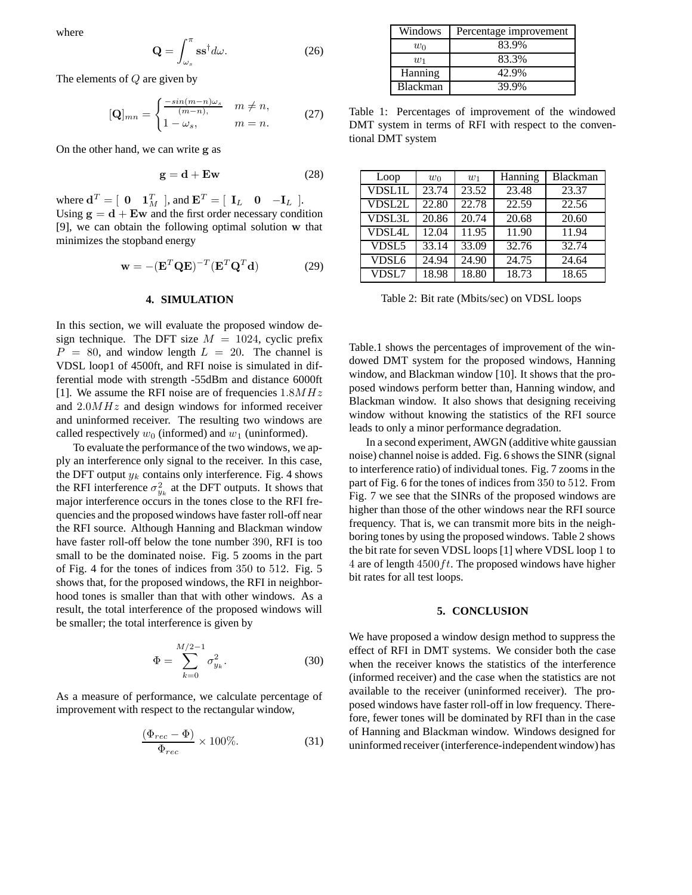where

$$
\mathbf{Q} = \int_{\omega_s}^{\pi} \mathbf{s} \mathbf{s}^{\dagger} d\omega. \tag{26}
$$

The elements of Q are given by

$$
[\mathbf{Q}]_{mn} = \begin{cases} \frac{-\sin(m-n)\omega_s}{(m-n)}, & m \neq n, \\ 1 - \omega_s, & m = n. \end{cases}
$$
 (27)

On the other hand, we can write **g** as

$$
g = d + Ew \tag{28}
$$

where  $\mathbf{d}^T = \begin{bmatrix} \mathbf{0} & \mathbf{1}_M^T \end{bmatrix}$ , and  $\mathbf{E}^T = \begin{bmatrix} \mathbf{I}_L & \mathbf{0} & -\mathbf{I}_L \end{bmatrix}$ . Using  $g = d + Ew$  and the first order necessary condition [9], we can obtain the following optimal solution **w** that minimizes the stopband energy

$$
\mathbf{w} = -(\mathbf{E}^T \mathbf{Q} \mathbf{E})^{-T} (\mathbf{E}^T \mathbf{Q}^T \mathbf{d})
$$
 (29)

## **4. SIMULATION**

In this section, we will evaluate the proposed window design technique. The DFT size  $M = 1024$ , cyclic prefix  $P = 80$ , and window length  $L = 20$ . The channel is VDSL loop1 of 4500ft, and RFI noise is simulated in differential mode with strength -55dBm and distance 6000ft [1]. We assume the RFI noise are of frequencies  $1.8MHz$ and 2.0MHz and design windows for informed receiver and uninformed receiver. The resulting two windows are called respectively  $w_0$  (informed) and  $w_1$  (uninformed).

To evaluate the performance of the two windows, we apply an interference only signal to the receiver. In this case, the DFT output  $y_k$  contains only interference. Fig. 4 shows the RFI interference  $\sigma_{y_k}^2$  at the DFT outputs. It shows that major interference occurs in the tones close to the RFI frequencies and the proposed windows have faster roll-off near the RFI source. Although Hanning and Blackman window have faster roll-off below the tone number 390, RFI is too small to be the dominated noise. Fig. 5 zooms in the part of Fig. 4 for the tones of indices from 350 to 512. Fig. 5 shows that, for the proposed windows, the RFI in neighborhood tones is smaller than that with other windows. As a result, the total interference of the proposed windows will be smaller; the total interference is given by

$$
\Phi = \sum_{k=0}^{M/2-1} \sigma_{y_k}^2.
$$
\n(30)

As a measure of performance, we calculate percentage of improvement with respect to the rectangular window,

$$
\frac{(\Phi_{rec} - \Phi)}{\Phi_{rec}} \times 100\%.
$$
 (31)

| Windows         | Percentage improvement |  |  |
|-----------------|------------------------|--|--|
| Wη              | 83.9%                  |  |  |
| $w_1$           | 83.3%                  |  |  |
| Hanning         | 42.9%                  |  |  |
| <b>Blackman</b> | 39.9%                  |  |  |

Table 1: Percentages of improvement of the windowed DMT system in terms of RFI with respect to the conventional DMT system

| Loop              | $w_0$ | $w_1$ | Hanning | Blackman |
|-------------------|-------|-------|---------|----------|
| <b>VDSL1L</b>     | 23.74 | 23.52 | 23.48   | 23.37    |
| <b>VDSL2L</b>     | 22.80 | 22.78 | 22.59   | 22.56    |
| VDSL3L            | 20.86 | 20.74 | 20.68   | 20.60    |
| <b>VDSL4L</b>     | 12.04 | 11.95 | 11.90   | 11.94    |
| VDSL5             | 33.14 | 33.09 | 32.76   | 32.74    |
| VDSL <sub>6</sub> | 24.94 | 24.90 | 24.75   | 24.64    |
| VDSL7             | 18.98 | 18.80 | 18.73   | 18.65    |

Table 2: Bit rate (Mbits/sec) on VDSL loops

Table.1 shows the percentages of improvement of the windowed DMT system for the proposed windows, Hanning window, and Blackman window [10]. It shows that the proposed windows perform better than, Hanning window, and Blackman window. It also shows that designing receiving window without knowing the statistics of the RFI source leads to only a minor performance degradation.

In a second experiment, AWGN (additive white gaussian noise) channel noise is added. Fig. 6 shows the SINR (signal to interference ratio) of individual tones. Fig. 7 zooms in the part of Fig. 6 for the tones of indices from 350 to 512. From Fig. 7 we see that the SINRs of the proposed windows are higher than those of the other windows near the RFI source frequency. That is, we can transmit more bits in the neighboring tones by using the proposed windows. Table 2 shows the bit rate for seven VDSL loops [1] where VDSL loop 1 to 4 are of length  $4500 ft$ . The proposed windows have higher bit rates for all test loops.

#### **5. CONCLUSION**

We have proposed a window design method to suppress the effect of RFI in DMT systems. We consider both the case when the receiver knows the statistics of the interference (informed receiver) and the case when the statistics are not available to the receiver (uninformed receiver). The proposed windows have faster roll-off in low frequency. Therefore, fewer tones will be dominated by RFI than in the case of Hanning and Blackman window. Windows designed for uninformed receiver (interference-independent window) has